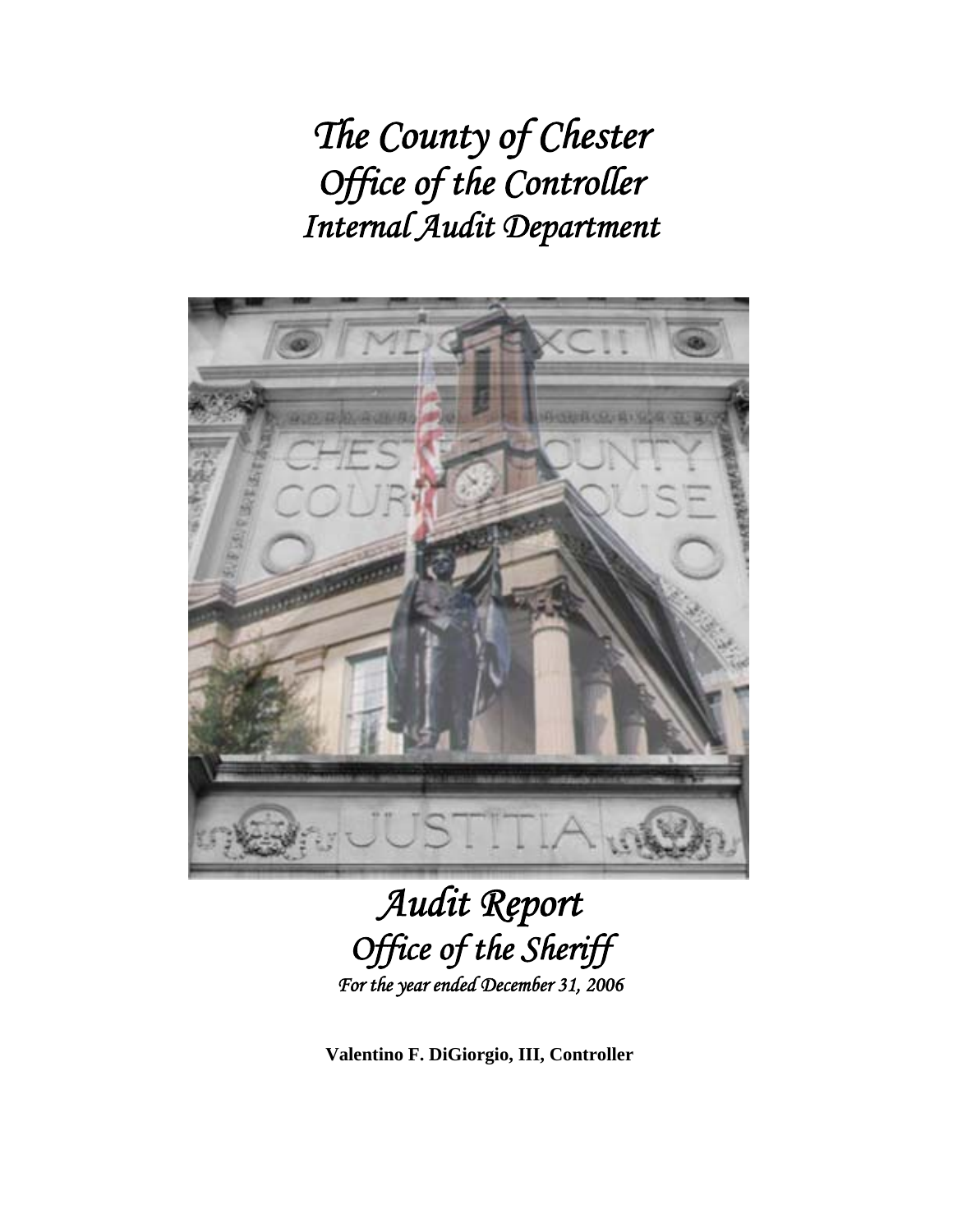*The County of Chester Office of the Controller Internal Audit Department* 



# *Audit Report Office of the Sheriff For the year ended December 31, 2006*

**Valentino F. DiGiorgio, III, Controller**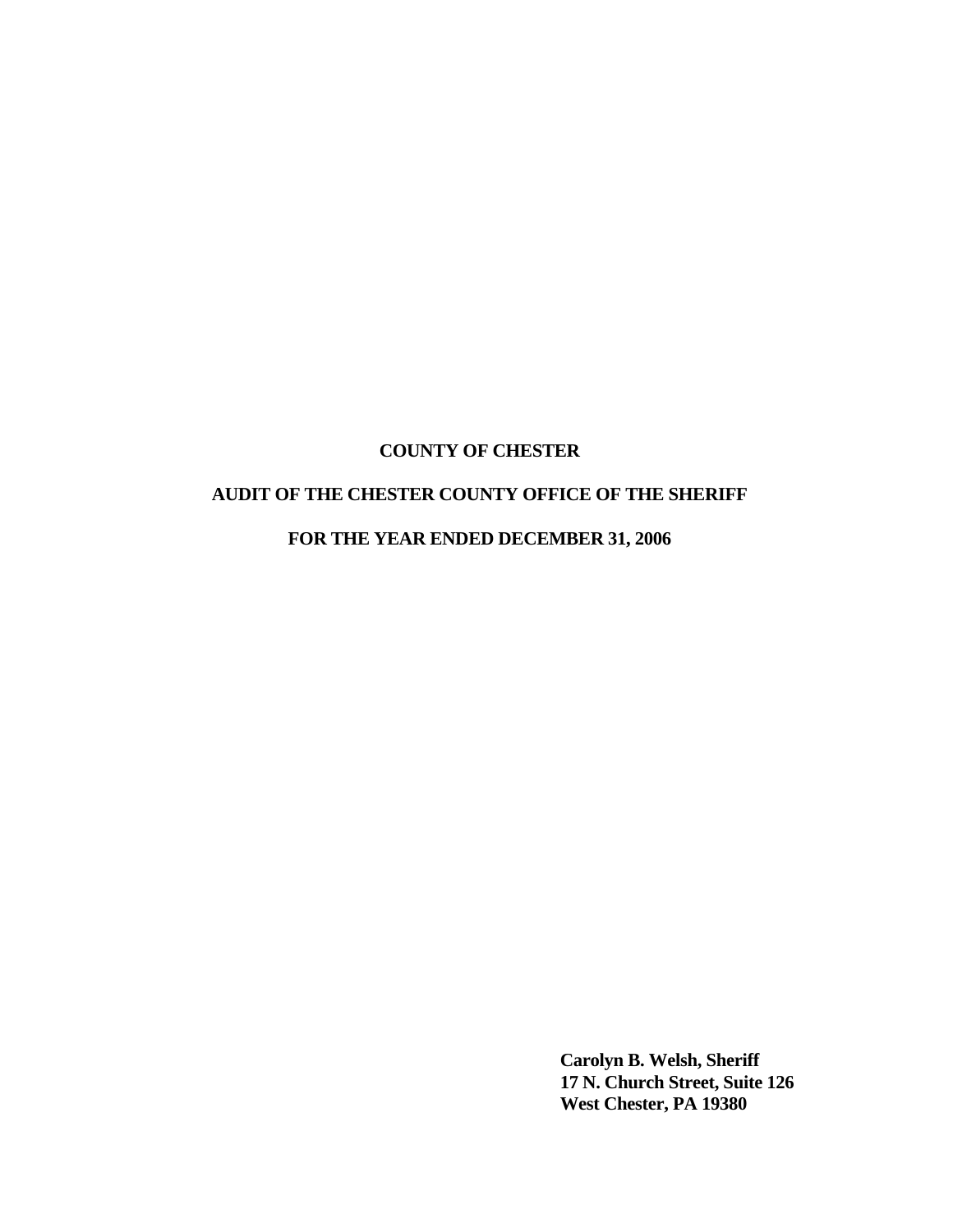## **AUDIT OF THE CHESTER COUNTY OFFICE OF THE SHERIFF**

**FOR THE YEAR ENDED DECEMBER 31, 2006** 

 **Carolyn B. Welsh, Sheriff 17 N. Church Street, Suite 126 West Chester, PA 19380**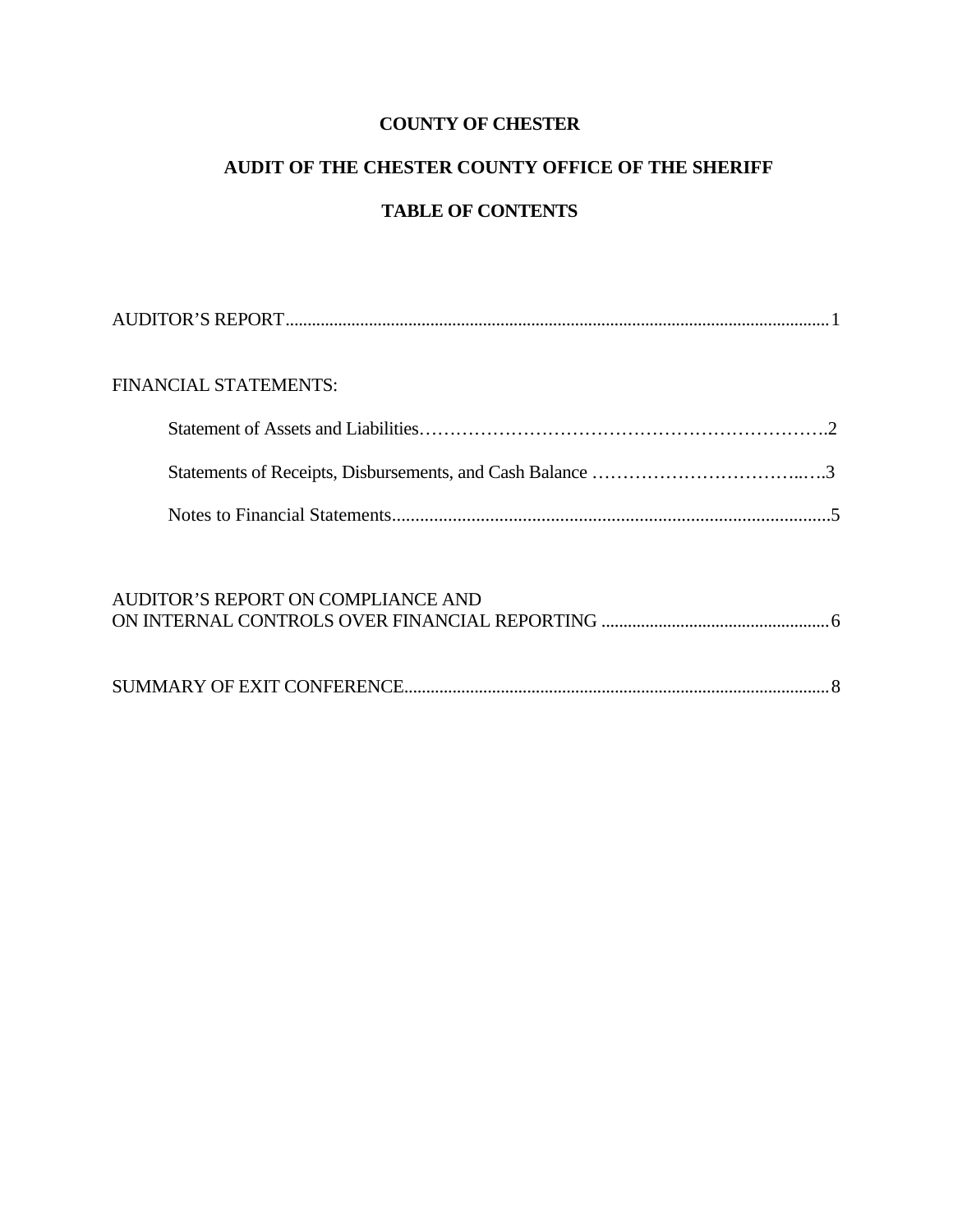# **AUDIT OF THE CHESTER COUNTY OFFICE OF THE SHERIFF**

# **TABLE OF CONTENTS**

| FINANCIAL STATEMENTS: |  |
|-----------------------|--|
|                       |  |
|                       |  |
|                       |  |
|                       |  |

| AUDITOR'S REPORT ON COMPLIANCE AND |  |
|------------------------------------|--|
|                                    |  |
|                                    |  |
|                                    |  |
|                                    |  |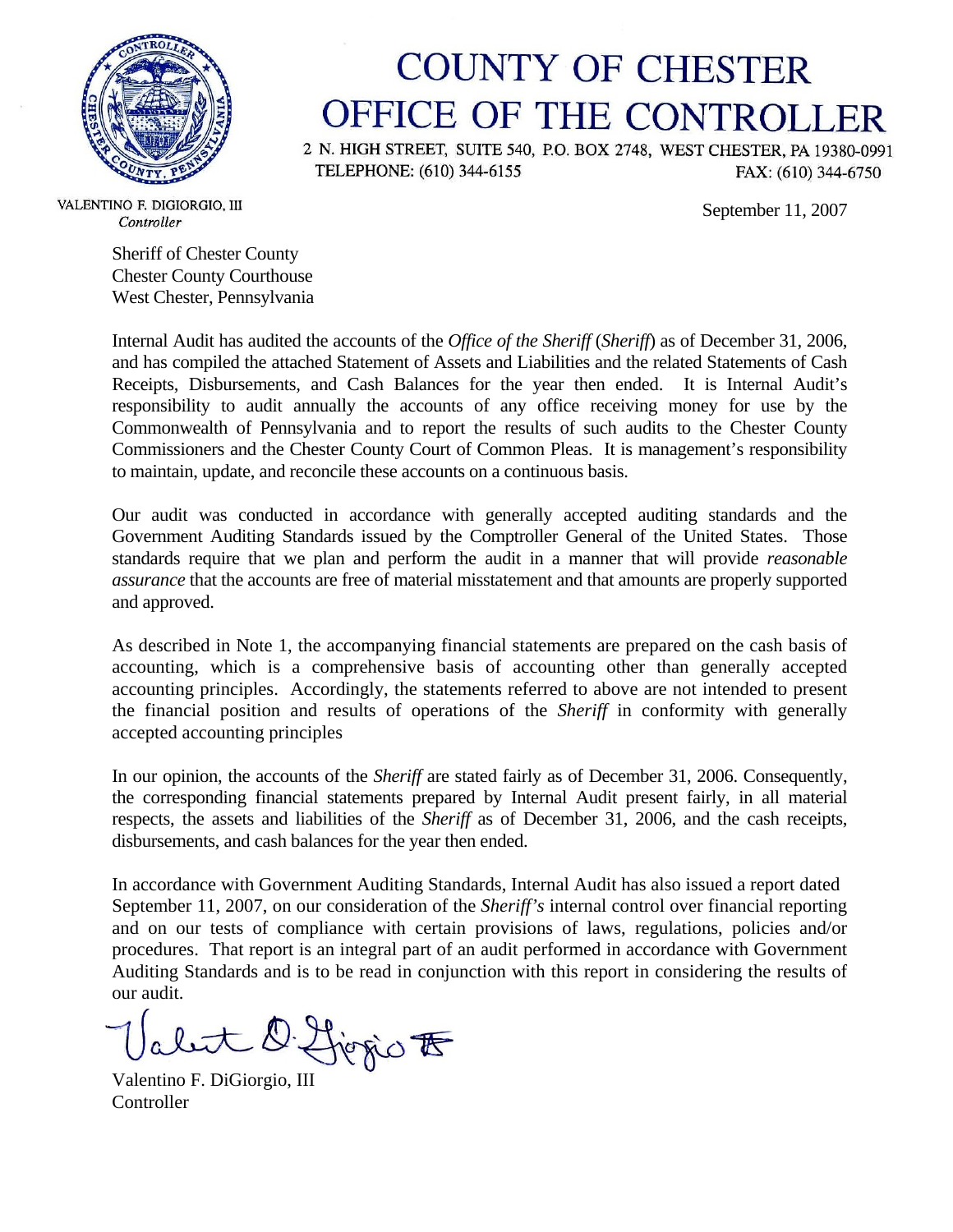

# **COUNTY OF CHESTER** OFFICE OF THE CONTROLLER

2 N. HIGH STREET, SUITE 540, P.O. BOX 2748, WEST CHESTER, PA 19380-0991 TELEPHONE: (610) 344-6155 FAX: (610) 344-6750

September 11, 2007

VALENTINO F. DIGIORGIO, III Controller

Sheriff of Chester County Chester County Courthouse West Chester, Pennsylvania

Internal Audit has audited the accounts of the *Office of the Sheriff* (*Sheriff*) as of December 31, 2006, and has compiled the attached Statement of Assets and Liabilities and the related Statements of Cash Receipts, Disbursements, and Cash Balances for the year then ended. It is Internal Audit's responsibility to audit annually the accounts of any office receiving money for use by the Commonwealth of Pennsylvania and to report the results of such audits to the Chester County Commissioners and the Chester County Court of Common Pleas. It is management's responsibility to maintain, update, and reconcile these accounts on a continuous basis.

Our audit was conducted in accordance with generally accepted auditing standards and the Government Auditing Standards issued by the Comptroller General of the United States. Those standards require that we plan and perform the audit in a manner that will provide *reasonable assurance* that the accounts are free of material misstatement and that amounts are properly supported and approved.

As described in Note 1, the accompanying financial statements are prepared on the cash basis of accounting, which is a comprehensive basis of accounting other than generally accepted accounting principles. Accordingly, the statements referred to above are not intended to present the financial position and results of operations of the *Sheriff* in conformity with generally accepted accounting principles

In our opinion, the accounts of the *Sheriff* are stated fairly as of December 31, 2006. Consequently, the corresponding financial statements prepared by Internal Audit present fairly, in all material respects, the assets and liabilities of the *Sheriff* as of December 31, 2006, and the cash receipts, disbursements, and cash balances for the year then ended.

In accordance with Government Auditing Standards, Internal Audit has also issued a report dated September 11, 2007, on our consideration of the *Sheriff's* internal control over financial reporting and on our tests of compliance with certain provisions of laws, regulations, policies and/or procedures. That report is an integral part of an audit performed in accordance with Government Auditing Standards and is to be read in conjunction with this report in considering the results of our audit.

Valent D. Livrio F

**Controller**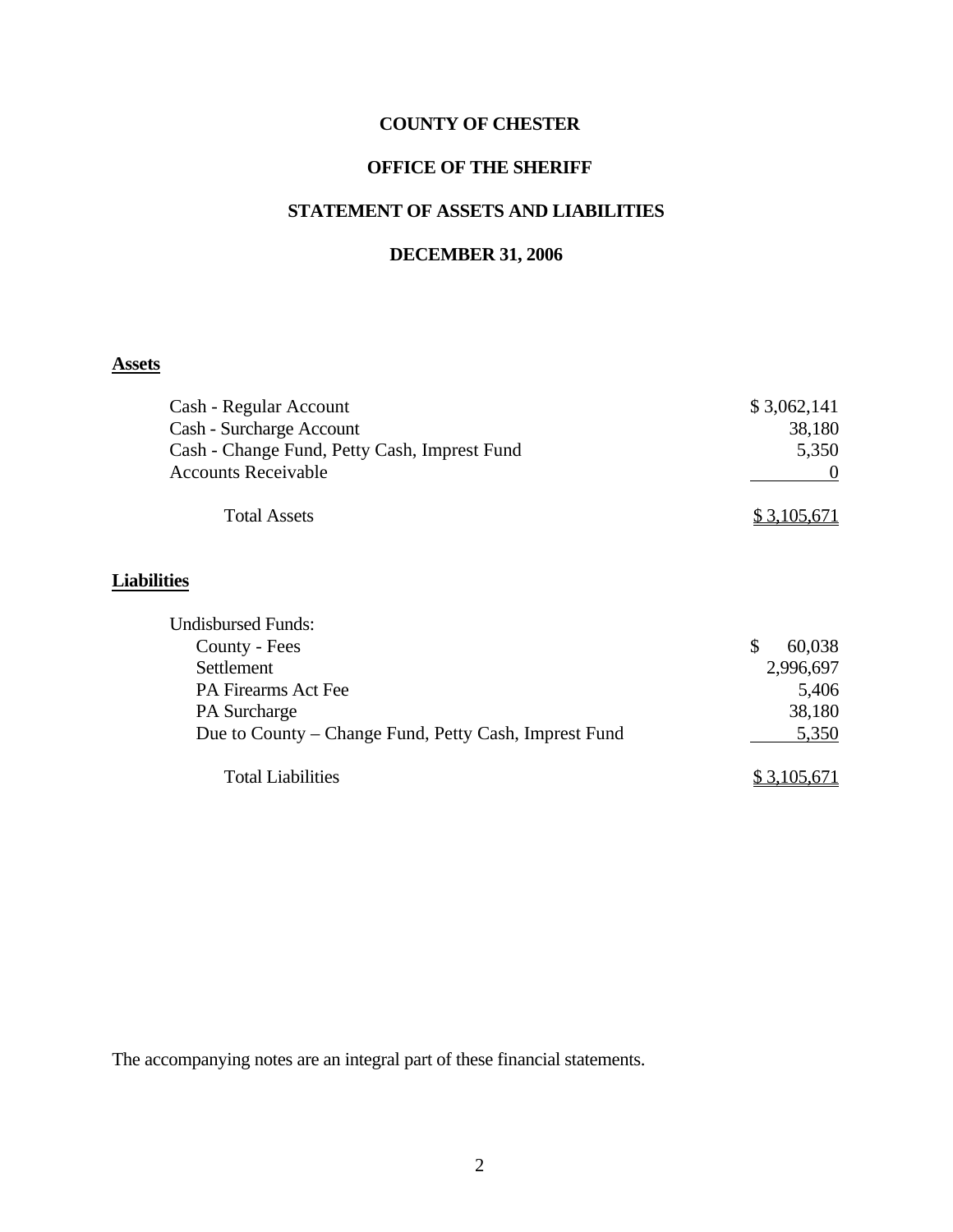#### **OFFICE OF THE SHERIFF**

#### **STATEMENT OF ASSETS AND LIABILITIES**

#### **DECEMBER 31, 2006**

# **Assets**

| Cash - Regular Account                                | \$3,062,141  |
|-------------------------------------------------------|--------------|
| Cash - Surcharge Account                              | 38,180       |
| Cash - Change Fund, Petty Cash, Imprest Fund          | 5,350        |
| <b>Accounts Receivable</b>                            | $\theta$     |
| <b>Total Assets</b>                                   | \$3,105,671  |
| <b>Liabilities</b>                                    |              |
| <b>Undisbursed Funds:</b>                             |              |
| County - Fees                                         | \$<br>60,038 |
| Settlement                                            | 2,996,697    |
| <b>PA Firearms Act Fee</b>                            | 5,406        |
| PA Surcharge                                          | 38,180       |
| Due to County – Change Fund, Petty Cash, Imprest Fund | 5,350        |
| <b>Total Liabilities</b>                              | \$3,105,671  |

The accompanying notes are an integral part of these financial statements.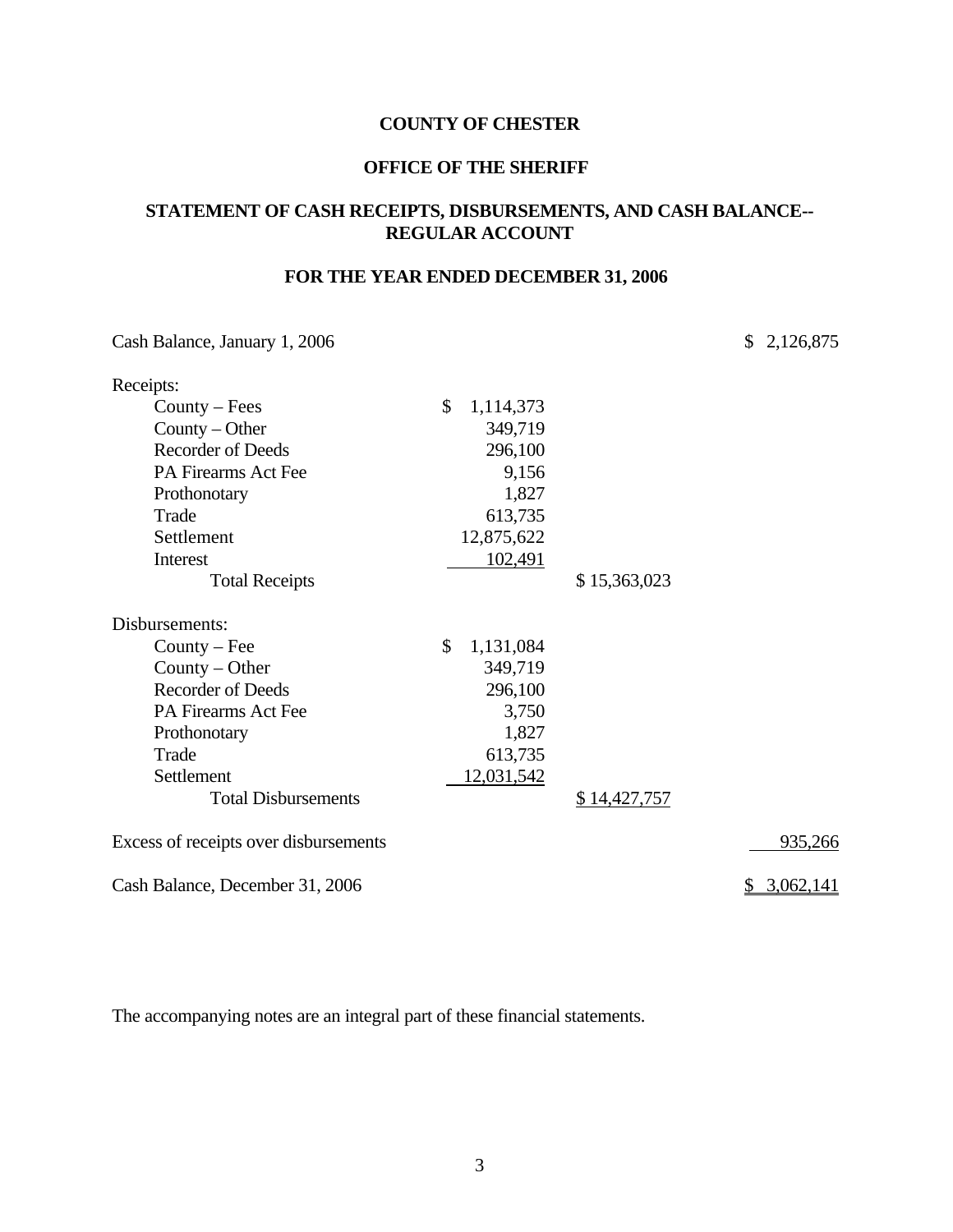#### **OFFICE OF THE SHERIFF**

#### **STATEMENT OF CASH RECEIPTS, DISBURSEMENTS, AND CASH BALANCE-- REGULAR ACCOUNT**

#### **FOR THE YEAR ENDED DECEMBER 31, 2006**

Cash Balance, January 1, 2006 \$ 2,126,875

| Receipts:                             |                 |              |           |
|---------------------------------------|-----------------|--------------|-----------|
| $Country - Fees$                      | \$<br>1,114,373 |              |           |
| County – Other                        | 349,719         |              |           |
| <b>Recorder of Deeds</b>              | 296,100         |              |           |
| PA Firearms Act Fee                   | 9,156           |              |           |
| Prothonotary                          | 1,827           |              |           |
| Trade                                 | 613,735         |              |           |
| Settlement                            | 12,875,622      |              |           |
| Interest                              | 102,491         |              |           |
| <b>Total Receipts</b>                 |                 | \$15,363,023 |           |
| Disbursements:                        |                 |              |           |
| $Country - Fee$                       | \$<br>1,131,084 |              |           |
| County $-$ Other                      | 349,719         |              |           |
| <b>Recorder of Deeds</b>              | 296,100         |              |           |
| PA Firearms Act Fee                   | 3,750           |              |           |
| Prothonotary                          | 1,827           |              |           |
| Trade                                 | 613,735         |              |           |
| Settlement                            | 12,031,542      |              |           |
| <b>Total Disbursements</b>            |                 | \$14,427,757 |           |
| Excess of receipts over disbursements |                 |              | 935,266   |
| Cash Balance, December 31, 2006       |                 |              | 3,062,141 |

The accompanying notes are an integral part of these financial statements.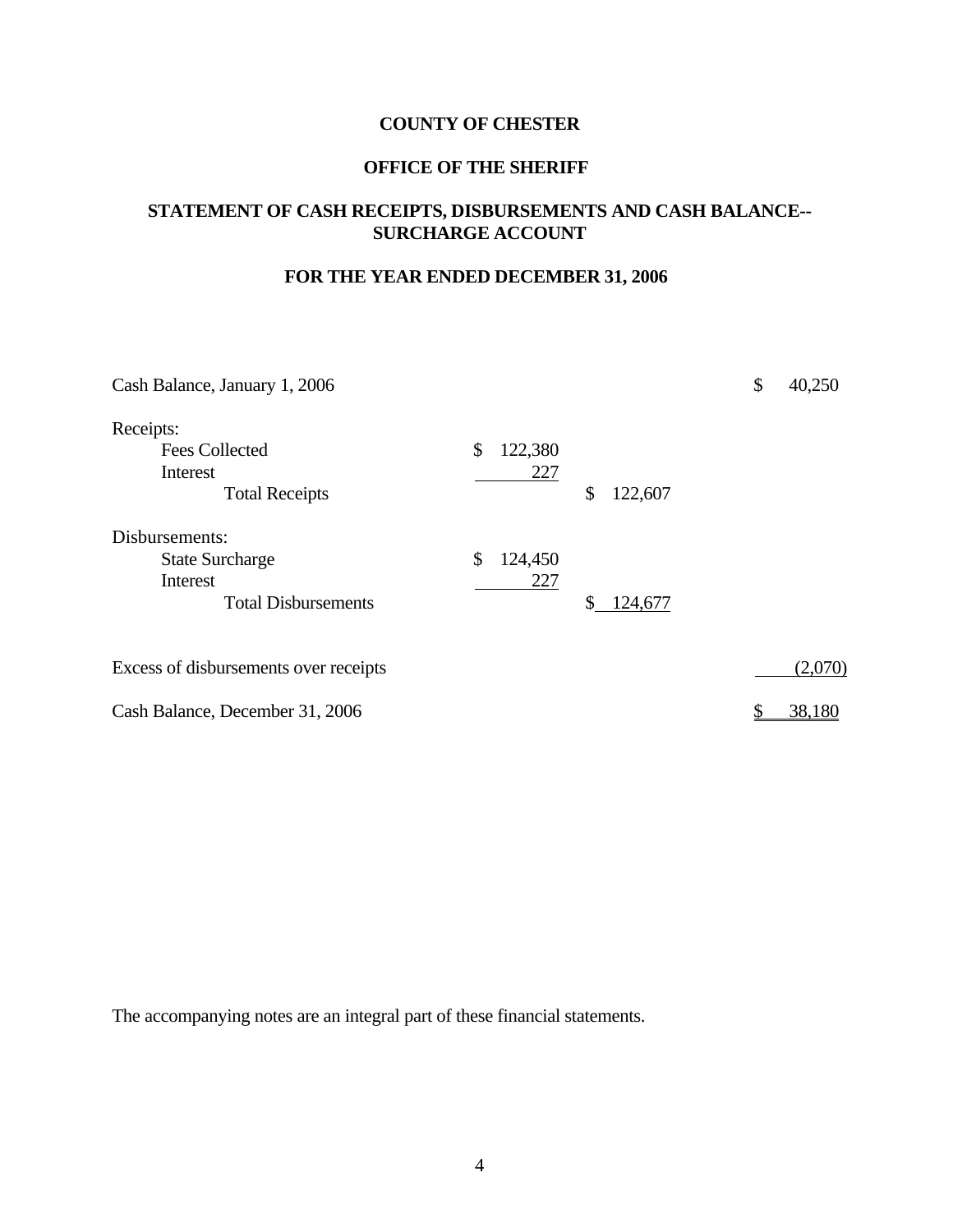#### **OFFICE OF THE SHERIFF**

#### **STATEMENT OF CASH RECEIPTS, DISBURSEMENTS AND CASH BALANCE-- SURCHARGE ACCOUNT**

#### **FOR THE YEAR ENDED DECEMBER 31, 2006**

| Cash Balance, January 1, 2006         |               |               | \$ | 40,250  |
|---------------------------------------|---------------|---------------|----|---------|
| Receipts:                             |               |               |    |         |
| <b>Fees Collected</b>                 | \$<br>122,380 |               |    |         |
| Interest                              | 227           |               |    |         |
| <b>Total Receipts</b>                 |               | \$<br>122,607 |    |         |
| Disbursements:                        |               |               |    |         |
| <b>State Surcharge</b>                | \$<br>124,450 |               |    |         |
| Interest                              | 227           |               |    |         |
| <b>Total Disbursements</b>            |               | \$<br>124,677 |    |         |
| Excess of disbursements over receipts |               |               |    | (2,070) |
|                                       |               |               |    |         |
| Cash Balance, December 31, 2006       |               |               |    | 38,180  |

The accompanying notes are an integral part of these financial statements.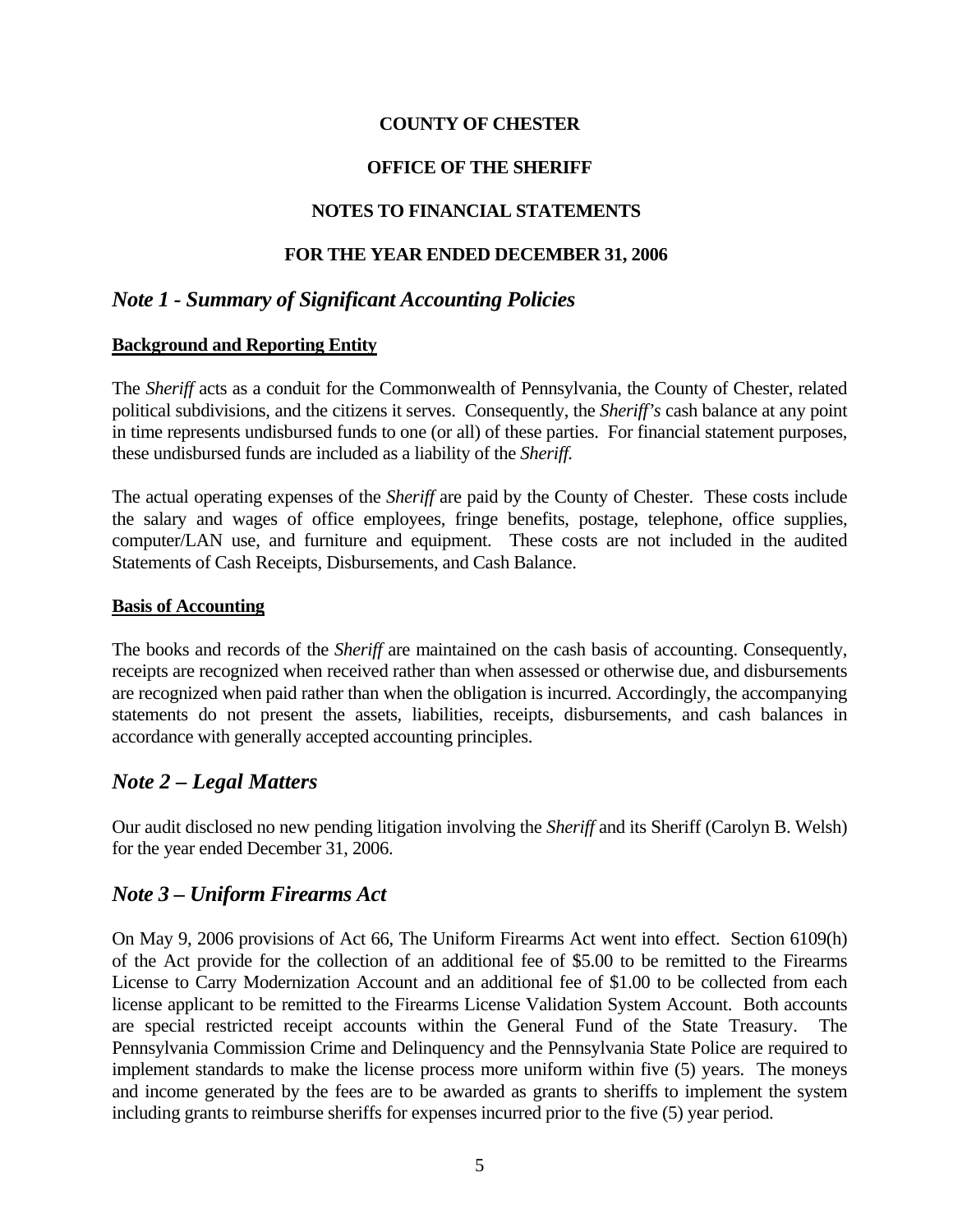#### **OFFICE OF THE SHERIFF**

#### **NOTES TO FINANCIAL STATEMENTS**

#### **FOR THE YEAR ENDED DECEMBER 31, 2006**

## *Note 1 - Summary of Significant Accounting Policies*

#### **Background and Reporting Entity**

The *Sheriff* acts as a conduit for the Commonwealth of Pennsylvania, the County of Chester, related political subdivisions, and the citizens it serves. Consequently, the *Sheriff's* cash balance at any point in time represents undisbursed funds to one (or all) of these parties. For financial statement purposes, these undisbursed funds are included as a liability of the *Sheriff.*

The actual operating expenses of the *Sheriff* are paid by the County of Chester. These costs include the salary and wages of office employees, fringe benefits, postage, telephone, office supplies, computer/LAN use, and furniture and equipment. These costs are not included in the audited Statements of Cash Receipts, Disbursements, and Cash Balance.

#### **Basis of Accounting**

The books and records of the *Sheriff* are maintained on the cash basis of accounting. Consequently, receipts are recognized when received rather than when assessed or otherwise due, and disbursements are recognized when paid rather than when the obligation is incurred. Accordingly, the accompanying statements do not present the assets, liabilities, receipts, disbursements, and cash balances in accordance with generally accepted accounting principles.

#### *Note 2 – Legal Matters*

Our audit disclosed no new pending litigation involving the *Sheriff* and its Sheriff (Carolyn B. Welsh) for the year ended December 31, 2006.

#### *Note 3 – Uniform Firearms Act*

On May 9, 2006 provisions of Act 66, The Uniform Firearms Act went into effect. Section 6109(h) of the Act provide for the collection of an additional fee of \$5.00 to be remitted to the Firearms License to Carry Modernization Account and an additional fee of \$1.00 to be collected from each license applicant to be remitted to the Firearms License Validation System Account. Both accounts are special restricted receipt accounts within the General Fund of the State Treasury. The Pennsylvania Commission Crime and Delinquency and the Pennsylvania State Police are required to implement standards to make the license process more uniform within five (5) years. The moneys and income generated by the fees are to be awarded as grants to sheriffs to implement the system including grants to reimburse sheriffs for expenses incurred prior to the five (5) year period.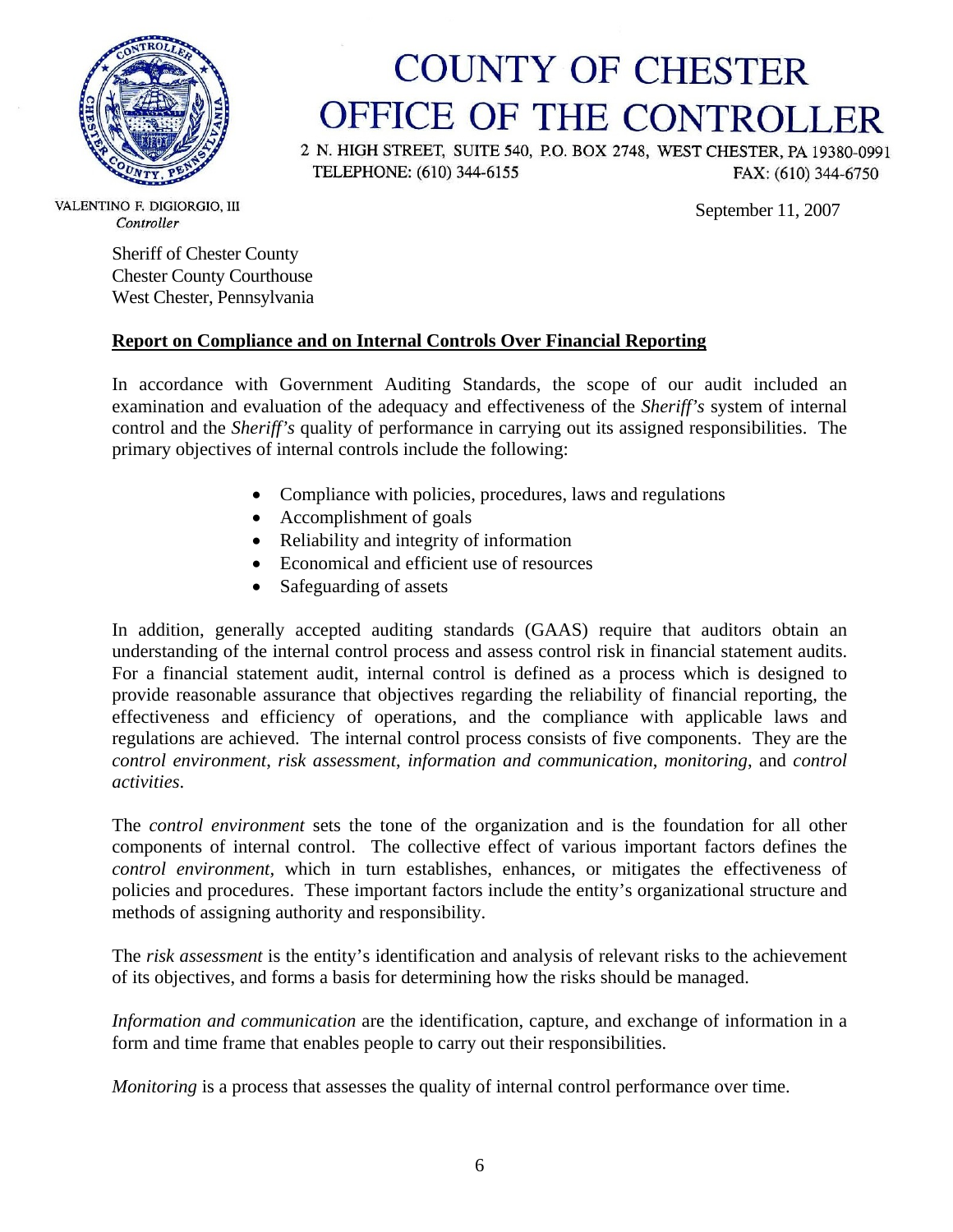

# **COUNTY OF CHESTER** OFFICE OF THE CONTROLLER

2 N. HIGH STREET, SUITE 540, P.O. BOX 2748, WEST CHESTER, PA 19380-0991 TELEPHONE: (610) 344-6155 FAX: (610) 344-6750

September 11, 2007

VALENTINO F. DIGIORGIO, III Controller

> Sheriff of Chester County Chester County Courthouse West Chester, Pennsylvania

#### **Report on Compliance and on Internal Controls Over Financial Reporting**

In accordance with Government Auditing Standards, the scope of our audit included an examination and evaluation of the adequacy and effectiveness of the *Sheriff's* system of internal control and the *Sheriff's* quality of performance in carrying out its assigned responsibilities. The primary objectives of internal controls include the following:

- Compliance with policies, procedures, laws and regulations
- Accomplishment of goals
- Reliability and integrity of information
- Economical and efficient use of resources
- Safeguarding of assets

In addition, generally accepted auditing standards (GAAS) require that auditors obtain an understanding of the internal control process and assess control risk in financial statement audits. For a financial statement audit, internal control is defined as a process which is designed to provide reasonable assurance that objectives regarding the reliability of financial reporting, the effectiveness and efficiency of operations, and the compliance with applicable laws and regulations are achieved. The internal control process consists of five components. They are the *control environment*, *risk assessment*, *information and communication*, *monitoring*, and *control activities*.

The *control environment* sets the tone of the organization and is the foundation for all other components of internal control. The collective effect of various important factors defines the *control environment,* which in turn establishes, enhances, or mitigates the effectiveness of policies and procedures. These important factors include the entity's organizational structure and methods of assigning authority and responsibility.

The *risk assessment* is the entity's identification and analysis of relevant risks to the achievement of its objectives, and forms a basis for determining how the risks should be managed.

*Information and communication* are the identification, capture, and exchange of information in a form and time frame that enables people to carry out their responsibilities.

*Monitoring* is a process that assesses the quality of internal control performance over time.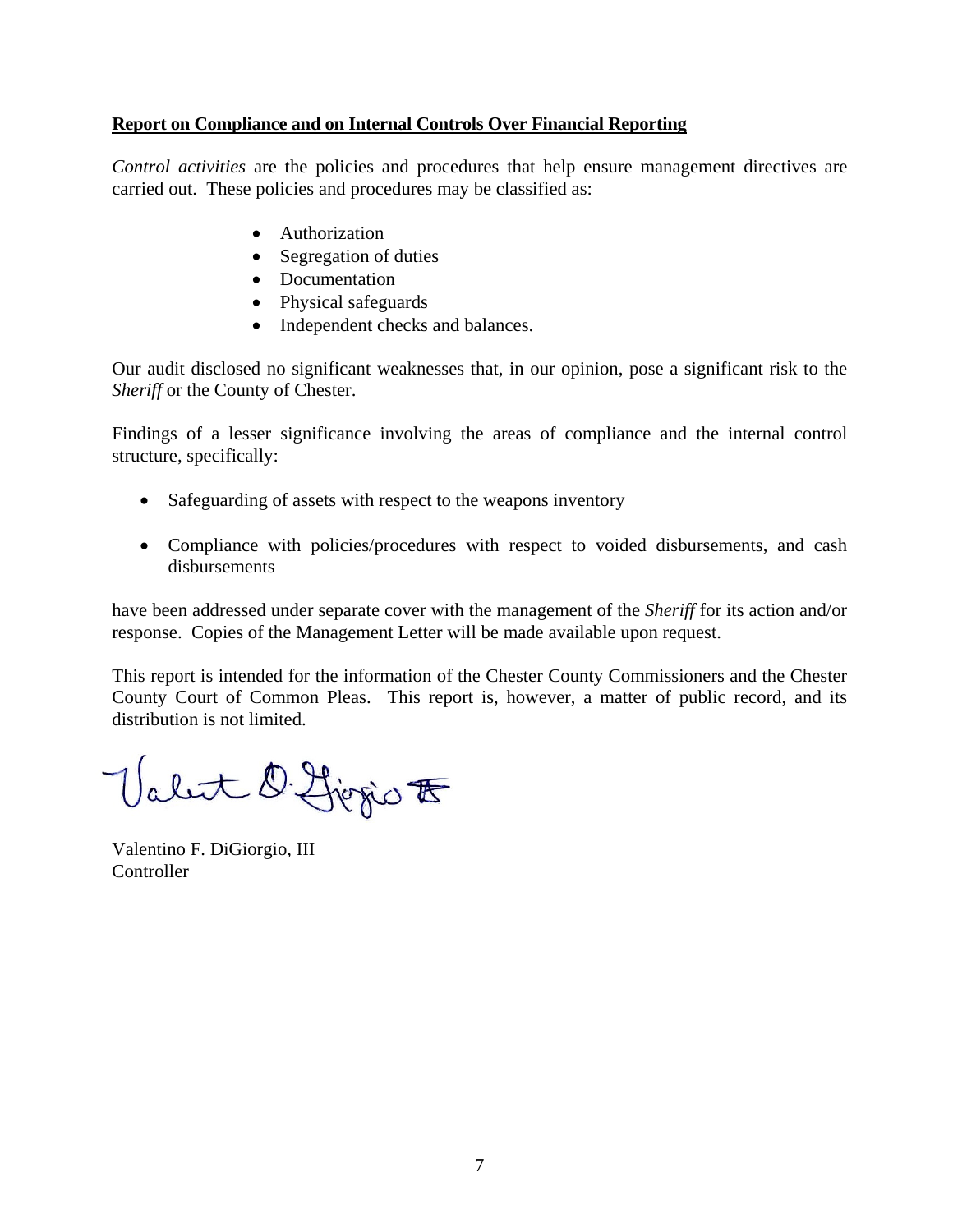#### **Report on Compliance and on Internal Controls Over Financial Reporting**

*Control activities* are the policies and procedures that help ensure management directives are carried out. These policies and procedures may be classified as:

- Authorization
- Segregation of duties
- Documentation
- Physical safeguards
- Independent checks and balances.

Our audit disclosed no significant weaknesses that, in our opinion, pose a significant risk to the *Sheriff* or the County of Chester.

Findings of a lesser significance involving the areas of compliance and the internal control structure, specifically:

- Safeguarding of assets with respect to the weapons inventory
- Compliance with policies/procedures with respect to voided disbursements, and cash disbursements

have been addressed under separate cover with the management of the *Sheriff* for its action and/or response. Copies of the Management Letter will be made available upon request.

This report is intended for the information of the Chester County Commissioners and the Chester County Court of Common Pleas. This report is, however, a matter of public record, and its distribution is not limited.

Valet D. Ljegio F

Valentino F. DiGiorgio, III **Controller**